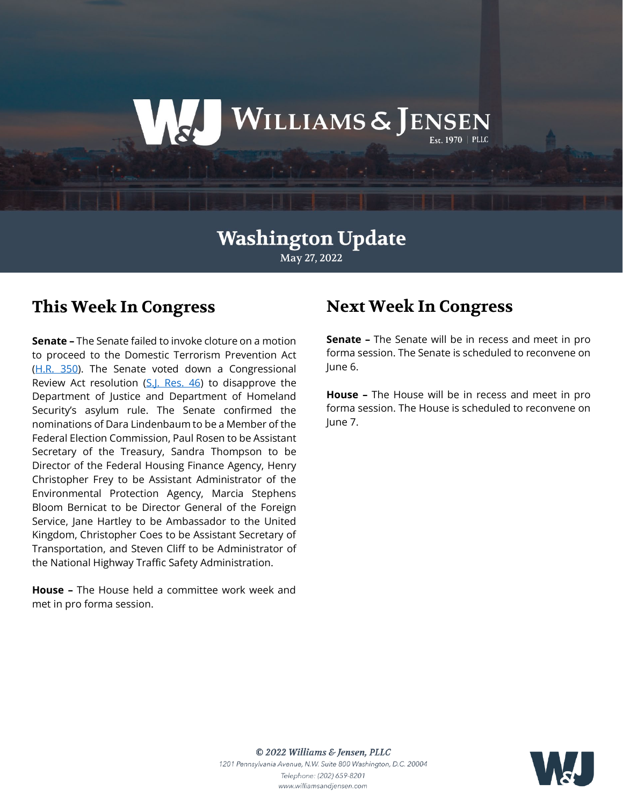# WILLIAMS & JENSEN

# **Washington Update** May 27, 2022

# **This Week In Congress**

**Senate –** The Senate failed to invoke cloture on a motion to proceed to the Domestic Terrorism Prevention Act [\(H.R. 350\)](https://www.congress.gov/bill/117th-congress/house-bill/350). The Senate voted down a Congressional Review Act resolution [\(S.J. Res. 46\)](https://www.congress.gov/bill/117th-congress/senate-joint-resolution/46?s=1&r=83) to disapprove the Department of Justice and Department of Homeland Security's asylum rule. The Senate confirmed the nominations of Dara Lindenbaum to be a Member of the Federal Election Commission, Paul Rosen to be Assistant Secretary of the Treasury, Sandra Thompson to be Director of the Federal Housing Finance Agency, Henry Christopher Frey to be Assistant Administrator of the Environmental Protection Agency, Marcia Stephens Bloom Bernicat to be Director General of the Foreign Service, Jane Hartley to be Ambassador to the United Kingdom, Christopher Coes to be Assistant Secretary of Transportation, and Steven Cliff to be Administrator of the National Highway Traffic Safety Administration.

**House –** The House held a committee work week and met in pro forma session.

# **Next Week In Congress**

**Senate –** The Senate will be in recess and meet in pro forma session. The Senate is scheduled to reconvene on June 6.

**House –** The House will be in recess and meet in pro forma session. The House is scheduled to reconvene on June 7.



© 2022 Williams & Jensen, PLLC 1201 Pennsylvania Avenue, N.W. Suite 800 Washington, D.C. 20004 Telephone: (202) 659-8201 www.williamsandjensen.com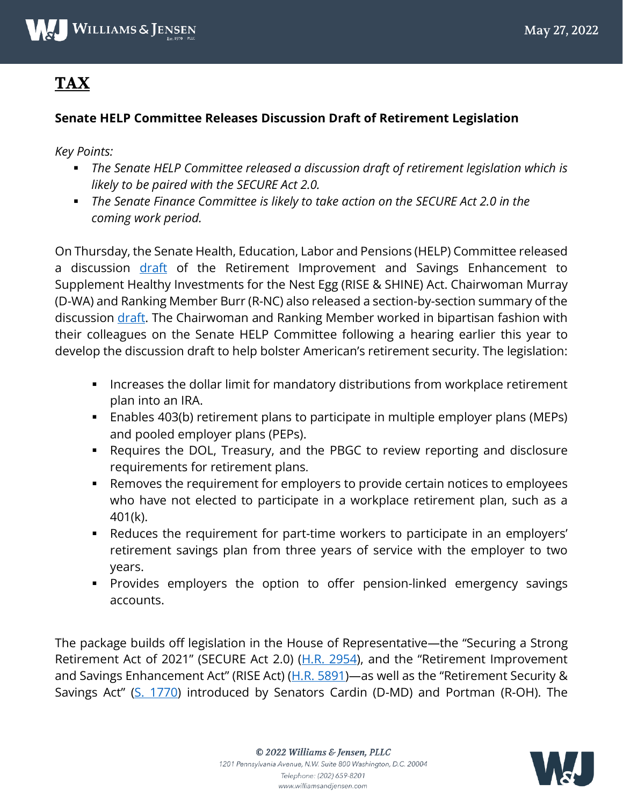

# **TAX**

#### **Senate HELP Committee Releases Discussion Draft of Retirement Legislation**

*Key Points:* 

- *The Senate HELP Committee released a discussion draft of retirement legislation which is likely to be paired with the SECURE Act 2.0.*
- *The Senate Finance Committee is likely to take action on the SECURE Act 2.0 in the coming work period.*

On Thursday, the Senate Health, Education, Labor and Pensions (HELP) Committee released a discussion [draft](https://www.help.senate.gov/download/052622_-help-retirement-discussion-draft) of the Retirement Improvement and Savings Enhancement to Supplement Healthy Investments for the Nest Egg (RISE & SHINE) Act. Chairwoman Murray (D-WA) and Ranking Member Burr (R-NC) also released a section-by-section summary of the discussion [draft.](https://www.help.senate.gov/download/052622-retirement-bill_section-by-section-summary) The Chairwoman and Ranking Member worked in bipartisan fashion with their colleagues on the Senate HELP Committee following a hearing earlier this year to develop the discussion draft to help bolster American's retirement security. The legislation:

- **Increases the dollar limit for mandatory distributions from workplace retirement** plan into an IRA.
- Enables 403(b) retirement plans to participate in multiple employer plans (MEPs) and pooled employer plans (PEPs).
- Requires the DOL, Treasury, and the PBGC to review reporting and disclosure requirements for retirement plans.
- Removes the requirement for employers to provide certain notices to employees who have not elected to participate in a workplace retirement plan, such as a 401(k).
- Reduces the requirement for part-time workers to participate in an employers' retirement savings plan from three years of service with the employer to two years.
- Provides employers the option to offer pension-linked emergency savings accounts.

The package builds off legislation in the House of Representative—the "Securing a Strong Retirement Act of 2021" (SECURE Act 2.0) [\(H.R. 2954\)](https://www.congress.gov/bill/117th-congress/house-bill/2954/text), and the "Retirement Improvement and Savings Enhancement Act" (RISE Act) ( $H.R. 5891$ )—as well as the "Retirement Security & Savings Act" [\(S. 1770\)](https://www.congress.gov/bill/117th-congress/senate-bill/1770/all-info) introduced by Senators Cardin (D-MD) and Portman (R-OH). The

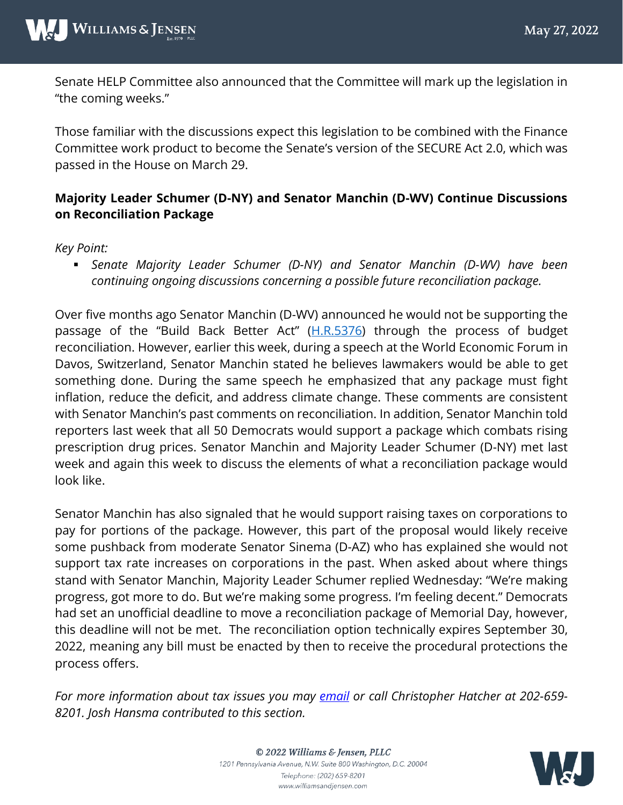Senate HELP Committee also announced that the Committee will mark up the legislation in "the coming weeks."

Those familiar with the discussions expect this legislation to be combined with the Finance Committee work product to become the Senate's version of the SECURE Act 2.0, which was passed in the House on March 29.

#### **Majority Leader Schumer (D-NY) and Senator Manchin (D-WV) Continue Discussions on Reconciliation Package**

#### *Key Point:*

 *Senate Majority Leader Schumer (D-NY) and Senator Manchin (D-WV) have been continuing ongoing discussions concerning a possible future reconciliation package.* 

Over five months ago Senator Manchin (D-WV) announced he would not be supporting the passage of the "Build Back Better Act" [\(H.R.5376\)](https://www.congress.gov/bill/117th-congress/house-bill/5376) through the process of budget reconciliation. However, earlier this week, during a speech at the World Economic Forum in Davos, Switzerland, Senator Manchin stated he believes lawmakers would be able to get something done. During the same speech he emphasized that any package must fight inflation, reduce the deficit, and address climate change. These comments are consistent with Senator Manchin's past comments on reconciliation. In addition, Senator Manchin told reporters last week that all 50 Democrats would support a package which combats rising prescription drug prices. Senator Manchin and Majority Leader Schumer (D-NY) met last week and again this week to discuss the elements of what a reconciliation package would look like.

Senator Manchin has also signaled that he would support raising taxes on corporations to pay for portions of the package. However, this part of the proposal would likely receive some pushback from moderate Senator Sinema (D-AZ) who has explained she would not support tax rate increases on corporations in the past. When asked about where things stand with Senator Manchin, Majority Leader Schumer replied Wednesday: "We're making progress, got more to do. But we're making some progress. I'm feeling decent." Democrats had set an unofficial deadline to move a reconciliation package of Memorial Day, however, this deadline will not be met. The reconciliation option technically expires September 30, 2022, meaning any bill must be enacted by then to receive the procedural protections the process offers.

*For more information about tax issues you may [email](mailto:CWHatcher@wms-jen.com) or call Christopher Hatcher at 202-659- 8201. Josh Hansma contributed to this section.*



© 2022 Williams & Jensen, PLLC 1201 Pennsylvania Avenue, N.W. Suite 800 Washington, D.C. 20004 Telephone: (202) 659-8201 www.williamsandjensen.com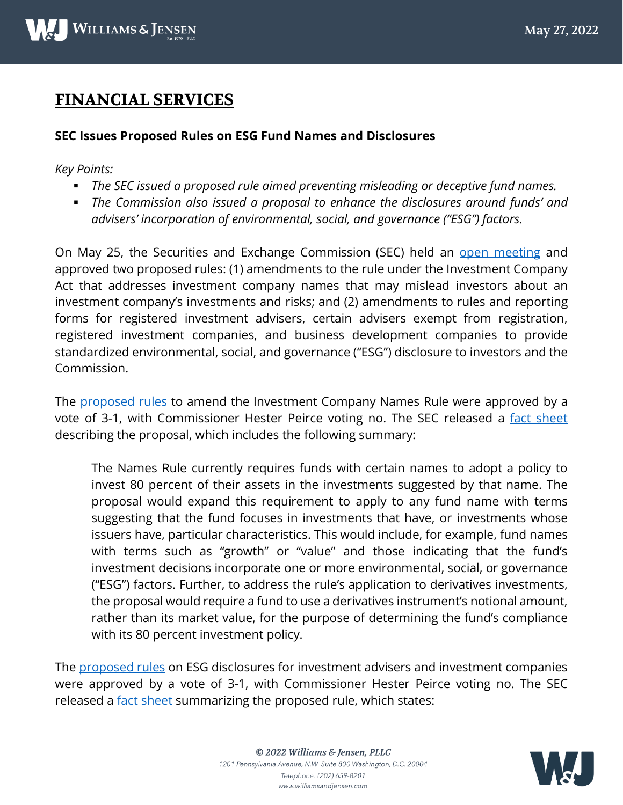# **FINANCIAL SERVICES**

#### **SEC Issues Proposed Rules on ESG Fund Names and Disclosures**

*Key Points:*

- *The SEC issued a proposed rule aimed preventing misleading or deceptive fund names.*
- *The Commission also issued a proposal to enhance the disclosures around funds' and advisers' incorporation of environmental, social, and governance ("ESG") factors.*

On May 25, the Securities and Exchange Commission (SEC) held an [open meeting](https://www.sec.gov/os/agenda-open-052522) and approved two proposed rules: (1) amendments to the rule under the Investment Company Act that addresses investment company names that may mislead investors about an investment company's investments and risks; and (2) amendments to rules and reporting forms for registered investment advisers, certain advisers exempt from registration, registered investment companies, and business development companies to provide standardized environmental, social, and governance ("ESG") disclosure to investors and the Commission.

The [proposed rules](https://www.sec.gov/rules/proposed/2022/ic-34593.pdf) to amend the Investment Company Names Rule were approved by a vote of 3-1, with Commissioner Hester Peirce voting no. The SEC released a [fact sheet](https://www.sec.gov/files/ic-34593-fact-sheet.pdf) describing the proposal, which includes the following summary:

The Names Rule currently requires funds with certain names to adopt a policy to invest 80 percent of their assets in the investments suggested by that name. The proposal would expand this requirement to apply to any fund name with terms suggesting that the fund focuses in investments that have, or investments whose issuers have, particular characteristics. This would include, for example, fund names with terms such as "growth" or "value" and those indicating that the fund's investment decisions incorporate one or more environmental, social, or governance ("ESG") factors. Further, to address the rule's application to derivatives investments, the proposal would require a fund to use a derivatives instrument's notional amount, rather than its market value, for the purpose of determining the fund's compliance with its 80 percent investment policy.

The [proposed rules](https://www.sec.gov/rules/proposed/2022/ia-6034.pdf) on ESG disclosures for investment advisers and investment companies were approved by a vote of 3-1, with Commissioner Hester Peirce voting no. The SEC released a [fact sheet](https://www.sec.gov/files/ia-6034-fact-sheet.pdf) summarizing the proposed rule, which states:

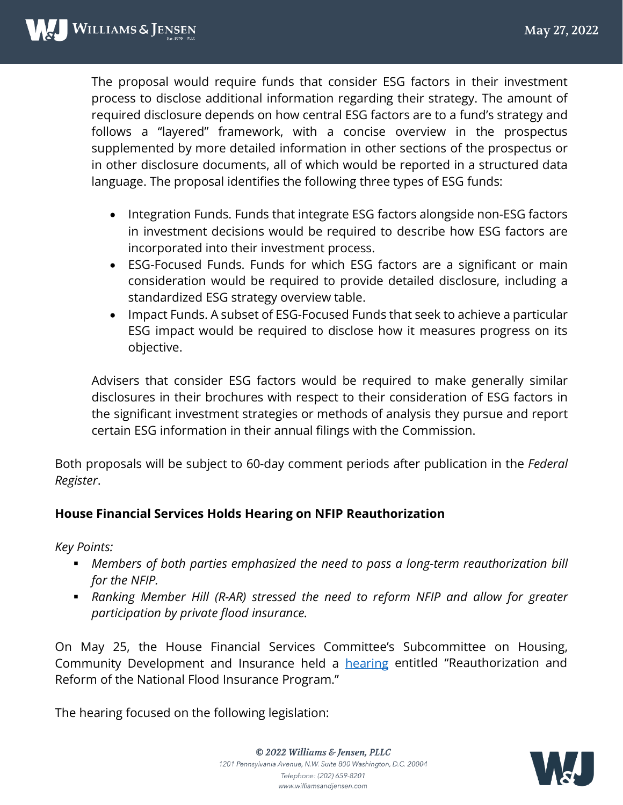The proposal would require funds that consider ESG factors in their investment process to disclose additional information regarding their strategy. The amount of required disclosure depends on how central ESG factors are to a fund's strategy and follows a "layered" framework, with a concise overview in the prospectus supplemented by more detailed information in other sections of the prospectus or in other disclosure documents, all of which would be reported in a structured data language. The proposal identifies the following three types of ESG funds:

- Integration Funds. Funds that integrate ESG factors alongside non-ESG factors in investment decisions would be required to describe how ESG factors are incorporated into their investment process.
- ESG-Focused Funds. Funds for which ESG factors are a significant or main consideration would be required to provide detailed disclosure, including a standardized ESG strategy overview table.
- Impact Funds. A subset of ESG-Focused Funds that seek to achieve a particular ESG impact would be required to disclose how it measures progress on its objective.

Advisers that consider ESG factors would be required to make generally similar disclosures in their brochures with respect to their consideration of ESG factors in the significant investment strategies or methods of analysis they pursue and report certain ESG information in their annual filings with the Commission.

Both proposals will be subject to 60-day comment periods after publication in the *Federal Register*.

#### **House Financial Services Holds Hearing on NFIP Reauthorization**

*Key Points:*

- *Members of both parties emphasized the need to pass a long-term reauthorization bill for the NFIP.*
- *Ranking Member Hill (R-AR) stressed the need to reform NFIP and allow for greater participation by private flood insurance.*

On May 25, the House Financial Services Committee's Subcommittee on Housing, Community Development and Insurance held a **[hearing](https://financialservices.house.gov/events/eventsingle.aspx?EventID=409381) entitled "Reauthorization and** Reform of the National Flood Insurance Program."

The hearing focused on the following legislation:

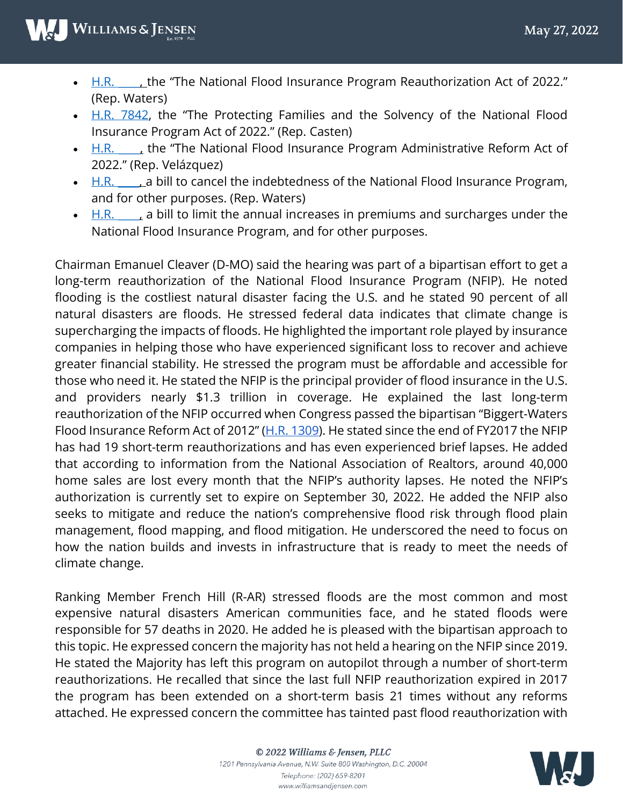- H.R. the "The National Flood Insurance Program Reauthorization Act of 2022." (Rep. Waters)
- [H.R. 7842,](https://democrats-financialservices.house.gov/UploadedFiles/BILLS-1177842ih-U1_-_casten.pdf) the "The Protecting Families and the Solvency of the National Flood Insurance Program Act of 2022." (Rep. Casten)
- $\bullet$  H.R.  $\bullet$ , the "The National Flood Insurance Program Administrative Reform Act of 2022." (Rep. Velázquez)
- $\bullet$  H.R.  $\bullet$  a bill to cancel the indebtedness of the National Flood Insurance Program, and for other purposes. (Rep. Waters)
- $H.R.$   $\Box$ , a bill to limit the annual increases in premiums and surcharges under the National Flood Insurance Program, and for other purposes.

Chairman Emanuel Cleaver (D-MO) said the hearing was part of a bipartisan effort to get a long-term reauthorization of the National Flood Insurance Program (NFIP). He noted flooding is the costliest natural disaster facing the U.S. and he stated 90 percent of all natural disasters are floods. He stressed federal data indicates that climate change is supercharging the impacts of floods. He highlighted the important role played by insurance companies in helping those who have experienced significant loss to recover and achieve greater financial stability. He stressed the program must be affordable and accessible for those who need it. He stated the NFIP is the principal provider of flood insurance in the U.S. and providers nearly \$1.3 trillion in coverage. He explained the last long-term reauthorization of the NFIP occurred when Congress passed the bipartisan "Biggert-Waters Flood Insurance Reform Act of 2012" [\(H.R. 1309\)](https://www.congress.gov/bill/112th-congress/house-bill/1309/all-info). He stated since the end of FY2017 the NFIP has had 19 short-term reauthorizations and has even experienced brief lapses. He added that according to information from the National Association of Realtors, around 40,000 home sales are lost every month that the NFIP's authority lapses. He noted the NFIP's authorization is currently set to expire on September 30, 2022. He added the NFIP also seeks to mitigate and reduce the nation's comprehensive flood risk through flood plain management, flood mapping, and flood mitigation. He underscored the need to focus on how the nation builds and invests in infrastructure that is ready to meet the needs of climate change.

Ranking Member French Hill (R-AR) stressed floods are the most common and most expensive natural disasters American communities face, and he stated floods were responsible for 57 deaths in 2020. He added he is pleased with the bipartisan approach to this topic. He expressed concern the majority has not held a hearing on the NFIP since 2019. He stated the Majority has left this program on autopilot through a number of short-term reauthorizations. He recalled that since the last full NFIP reauthorization expired in 2017 the program has been extended on a short-term basis 21 times without any reforms attached. He expressed concern the committee has tainted past flood reauthorization with

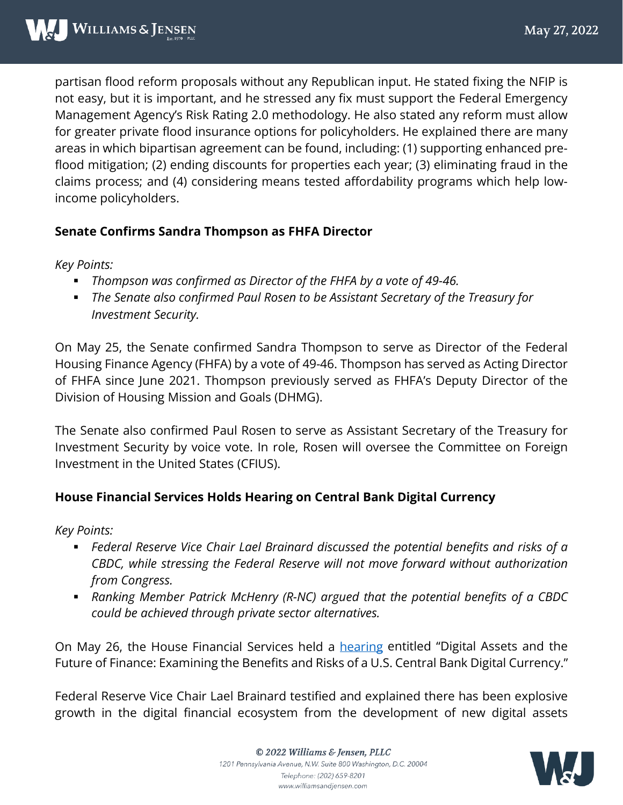partisan flood reform proposals without any Republican input. He stated fixing the NFIP is not easy, but it is important, and he stressed any fix must support the Federal Emergency Management Agency's Risk Rating 2.0 methodology. He also stated any reform must allow for greater private flood insurance options for policyholders. He explained there are many areas in which bipartisan agreement can be found, including: (1) supporting enhanced preflood mitigation; (2) ending discounts for properties each year; (3) eliminating fraud in the claims process; and (4) considering means tested affordability programs which help lowincome policyholders.

#### **Senate Confirms Sandra Thompson as FHFA Director**

*Key Points:*

- *Thompson was confirmed as Director of the FHFA by a vote of 49-46.*
- *The Senate also confirmed Paul Rosen to be Assistant Secretary of the Treasury for Investment Security.*

On May 25, the Senate confirmed Sandra Thompson to serve as Director of the Federal Housing Finance Agency (FHFA) by a vote of 49-46. Thompson has served as Acting Director of FHFA since June 2021. Thompson previously served as FHFA's Deputy Director of the Division of Housing Mission and Goals (DHMG).

The Senate also confirmed Paul Rosen to serve as Assistant Secretary of the Treasury for Investment Security by voice vote. In role, Rosen will oversee the Committee on Foreign Investment in the United States (CFIUS).

#### **House Financial Services Holds Hearing on Central Bank Digital Currency**

*Key Points:*

- *Federal Reserve Vice Chair Lael Brainard discussed the potential benefits and risks of a CBDC, while stressing the Federal Reserve will not move forward without authorization from Congress.*
- *Ranking Member Patrick McHenry (R-NC) argued that the potential benefits of a CBDC could be achieved through private sector alternatives.*

On May 26, the House Financial Services held a [hearing](https://financialservices.house.gov/events/eventsingle.aspx?EventID=409381) entitled "Digital Assets and the Future of Finance: Examining the Benefits and Risks of a U.S. Central Bank Digital Currency."

Federal Reserve Vice Chair Lael Brainard testified and explained there has been explosive growth in the digital financial ecosystem from the development of new digital assets

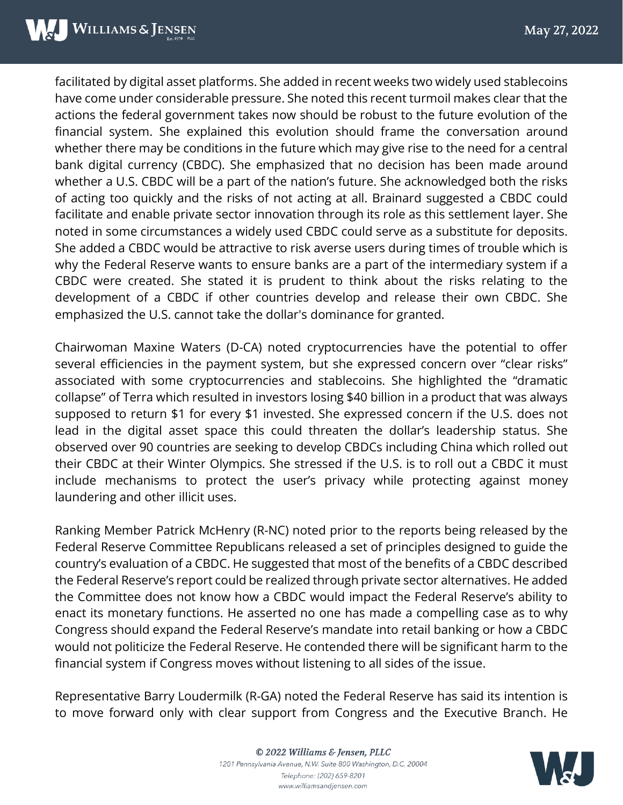facilitated by digital asset platforms. She added in recent weeks two widely used stablecoins have come under considerable pressure. She noted this recent turmoil makes clear that the actions the federal government takes now should be robust to the future evolution of the financial system. She explained this evolution should frame the conversation around whether there may be conditions in the future which may give rise to the need for a central bank digital currency (CBDC). She emphasized that no decision has been made around whether a U.S. CBDC will be a part of the nation's future. She acknowledged both the risks of acting too quickly and the risks of not acting at all. Brainard suggested a CBDC could facilitate and enable private sector innovation through its role as this settlement layer. She noted in some circumstances a widely used CBDC could serve as a substitute for deposits. She added a CBDC would be attractive to risk averse users during times of trouble which is why the Federal Reserve wants to ensure banks are a part of the intermediary system if a CBDC were created. She stated it is prudent to think about the risks relating to the development of a CBDC if other countries develop and release their own CBDC. She emphasized the U.S. cannot take the dollar's dominance for granted.

Chairwoman Maxine Waters (D-CA) noted cryptocurrencies have the potential to offer several efficiencies in the payment system, but she expressed concern over "clear risks" associated with some cryptocurrencies and stablecoins. She highlighted the "dramatic collapse" of Terra which resulted in investors losing \$40 billion in a product that was always supposed to return \$1 for every \$1 invested. She expressed concern if the U.S. does not lead in the digital asset space this could threaten the dollar's leadership status. She observed over 90 countries are seeking to develop CBDCs including China which rolled out their CBDC at their Winter Olympics. She stressed if the U.S. is to roll out a CBDC it must include mechanisms to protect the user's privacy while protecting against money laundering and other illicit uses.

Ranking Member Patrick McHenry (R-NC) noted prior to the reports being released by the Federal Reserve Committee Republicans released a set of principles designed to guide the country's evaluation of a CBDC. He suggested that most of the benefits of a CBDC described the Federal Reserve's report could be realized through private sector alternatives. He added the Committee does not know how a CBDC would impact the Federal Reserve's ability to enact its monetary functions. He asserted no one has made a compelling case as to why Congress should expand the Federal Reserve's mandate into retail banking or how a CBDC would not politicize the Federal Reserve. He contended there will be significant harm to the financial system if Congress moves without listening to all sides of the issue.

Representative Barry Loudermilk (R-GA) noted the Federal Reserve has said its intention is to move forward only with clear support from Congress and the Executive Branch. He

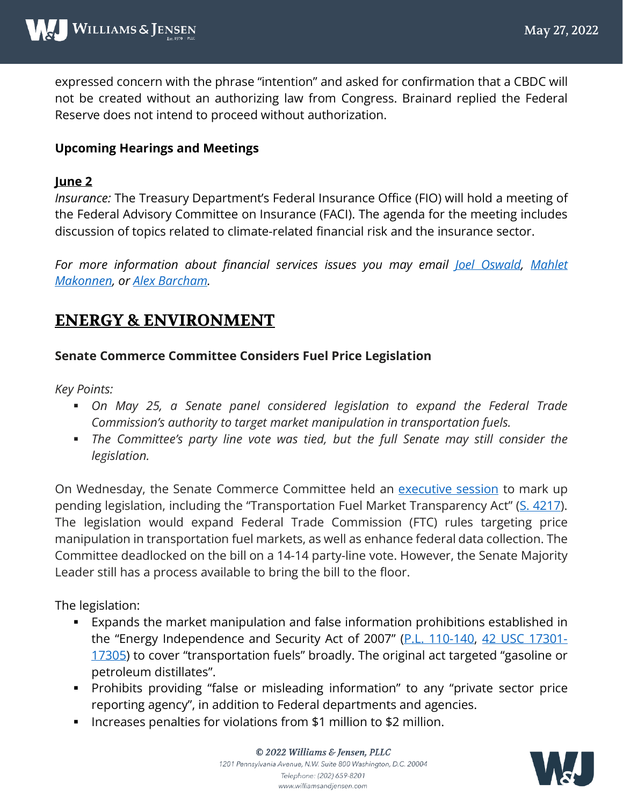expressed concern with the phrase "intention" and asked for confirmation that a CBDC will not be created without an authorizing law from Congress. Brainard replied the Federal Reserve does not intend to proceed without authorization.

#### **Upcoming Hearings and Meetings**

#### **June 2**

*Insurance:* The Treasury Department's Federal Insurance Office (FIO) will hold a meeting of the Federal Advisory Committee on Insurance (FACI). The agenda for the meeting includes discussion of topics related to climate-related financial risk and the insurance sector.

*For more information about financial services issues you may email <u>Joel Oswald</u>, Mahlet [Makonnen,](mailto:mhmakonnen@wms-jen.com) or [Alex Barcham.](mailto:adbarcham@wms-jen.com)* 

## **ENERGY & ENVIRONMENT**

#### **Senate Commerce Committee Considers Fuel Price Legislation**

*Key Points:*

- *On May 25, a Senate panel considered legislation to expand the Federal Trade Commission's authority to target market manipulation in transportation fuels.*
- *The Committee's party line vote was tied, but the full Senate may still consider the legislation.*

On Wednesday, the Senate Commerce Committee held an [executive](https://www.commerce.senate.gov/2022/5/executive-session/7aae60be-bc26-47a8-8eaf-872d59847309) session to mark up pending legislation, including the "Transportation Fuel Market Transparency Act" (S. [4217\)](https://www.congress.gov/117/bills/s4217/BILLS-117s4217is.pdf). The legislation would expand Federal Trade Commission (FTC) rules targeting price manipulation in transportation fuel markets, as well as enhance federal data collection. The Committee deadlocked on the bill on a 14-14 party-line vote. However, the Senate Majority Leader still has a process available to bring the bill to the floor.

The legislation:

- Expands the market manipulation and false information prohibitions established in the "Energy Independence and Security Act of 2007" [\(P.L. 110-140,](https://www.congress.gov/110/plaws/publ140/PLAW-110publ140.pdf) [42 USC 17301-](https://www.govinfo.gov/content/pkg/USCODE-2020-title42/pdf/USCODE-2020-title42-chap152-subchapVII-partB.pdf) [17305\)](https://www.govinfo.gov/content/pkg/USCODE-2020-title42/pdf/USCODE-2020-title42-chap152-subchapVII-partB.pdf) to cover "transportation fuels" broadly. The original act targeted "gasoline or petroleum distillates".
- Prohibits providing "false or misleading information" to any "private sector price reporting agency", in addition to Federal departments and agencies.
- **IF Increases penalties for violations from \$1 million to \$2 million.**



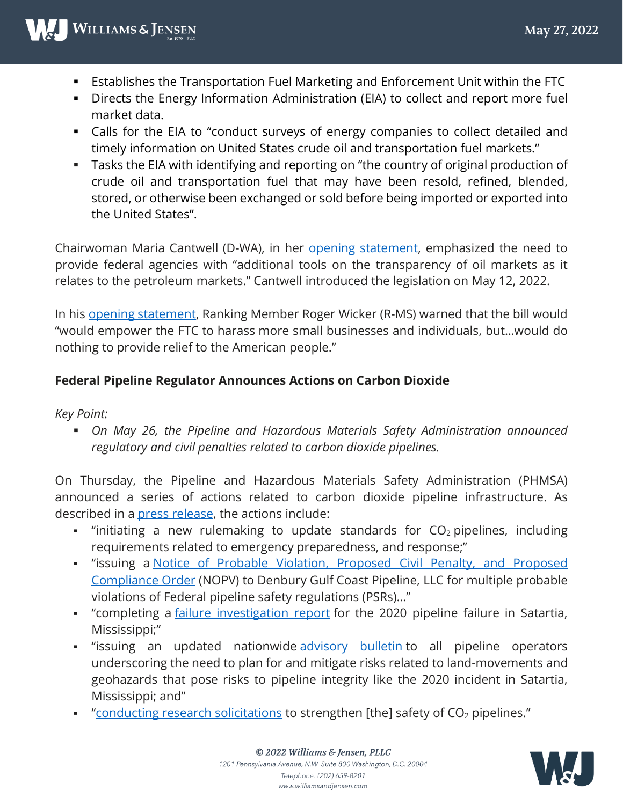- Establishes the Transportation Fuel Marketing and Enforcement Unit within the FTC
- Directs the Energy Information Administration (EIA) to collect and report more fuel market data.
- Calls for the EIA to "conduct surveys of energy companies to collect detailed and timely information on United States crude oil and transportation fuel markets."
- Tasks the EIA with identifying and reporting on "the country of original production of crude oil and transportation fuel that may have been resold, refined, blended, stored, or otherwise been exchanged or sold before being imported or exported into the United States".

Chairwoman Maria Cantwell (D-WA), in her opening [statement,](https://www.cantwell.senate.gov/imo/media/doc/05252022%20Commerce%20Committee%20Executive%20Session.pdf) emphasized the need to provide federal agencies with "additional tools on the transparency of oil markets as it relates to the petroleum markets." Cantwell introduced the legislation on May 12, 2022.

In his opening [statement,](https://www.commerce.senate.gov/2022/5/wicker-advances-blockchain-bill-calls-out-political-posturing-on-high-gas-prices) Ranking Member Roger Wicker (R-MS) warned that the bill would "would empower the FTC to harass more small businesses and individuals, but…would do nothing to provide relief to the American people."

#### **Federal Pipeline Regulator Announces Actions on Carbon Dioxide**

*Key Point:*

 *On May 26, the Pipeline and Hazardous Materials Safety Administration announced regulatory and civil penalties related to carbon dioxide pipelines.* 

On Thursday, the Pipeline and Hazardous Materials Safety Administration (PHMSA) announced a series of actions related to carbon dioxide pipeline infrastructure. As described in a press [release,](https://www.phmsa.dot.gov/news/phmsa-announces-new-safety-measures-protect-americans-carbon-dioxide-pipeline-failures) the actions include:

- $\blacksquare$  "initiating a new rulemaking to update standards for  $CO<sub>2</sub>$  pipelines, including requirements related to emergency preparedness, and response;"
- "issuing a Notice of Probable Violation, [Proposed](https://www.phmsa.dot.gov/news/phmsa-notice-proposed-violation-proposed-civil-penalty-and-proposed-compliance-order-denbury) Civil Penalty, and Proposed [Compliance](https://www.phmsa.dot.gov/news/phmsa-notice-proposed-violation-proposed-civil-penalty-and-proposed-compliance-order-denbury) Order (NOPV) to Denbury Gulf Coast Pipeline, LLC for multiple probable violations of Federal pipeline safety regulations (PSRs)…"
- " completing a *failure [investigation](https://www.phmsa.dot.gov/news/phmsa-failure-investigation-report-denbury-gulf-coast-pipelines-llc) report* for the 2020 pipeline failure in Satartia, Mississippi;"
- "issuing an updated nationwide [advisory](https://www.phmsa.dot.gov/news/phmsa-advisory-bulletin-potential-damage-pipeline-facilities-caused-earth-movement-and-other) bulletin to all pipeline operators underscoring the need to plan for and mitigate risks related to land-movements and geohazards that pose risks to pipeline integrity like the 2020 incident in Satartia, Mississippi; and"
- " conducting research [solicitations](https://www.grants.gov/web/grants/view-opportunity.html?oppId=338415) to strengthen [the] safety of  $CO<sub>2</sub>$  pipelines."



www.williamsandjensen.com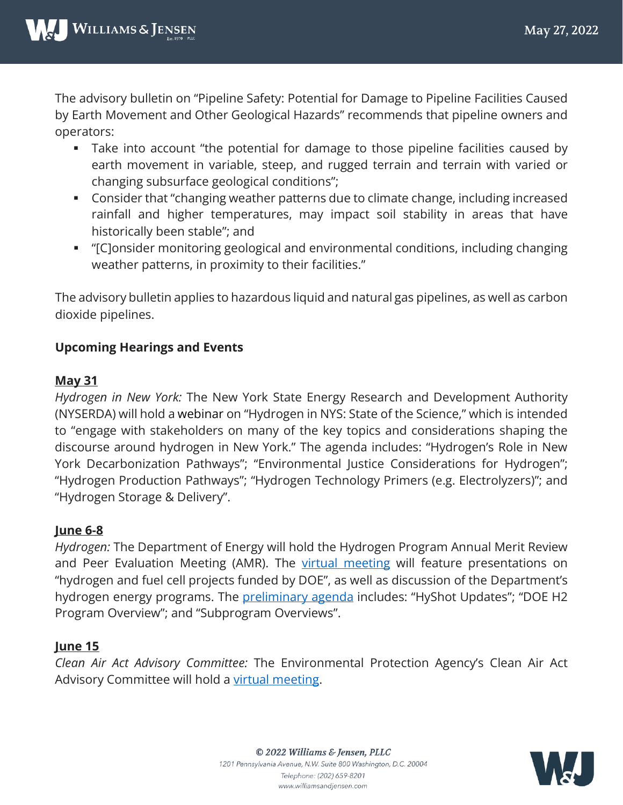The advisory bulletin on "Pipeline Safety: Potential for Damage to Pipeline Facilities Caused by Earth Movement and Other Geological Hazards" recommends that pipeline owners and operators:

- Take into account "the potential for damage to those pipeline facilities caused by earth movement in variable, steep, and rugged terrain and terrain with varied or changing subsurface geological conditions";
- Consider that "changing weather patterns due to climate change, including increased rainfall and higher temperatures, may impact soil stability in areas that have historically been stable"; and
- "[C]onsider monitoring geological and environmental conditions, including changing weather patterns, in proximity to their facilities."

The advisory bulletin applies to hazardous liquid and natural gas pipelines, as well as carbon dioxide pipelines.

#### **Upcoming Hearings and Events**

#### **May 31**

*Hydrogen in New York:* The New York State Energy Research and Development Authority (NYSERDA) will hold a webinar on "Hydrogen in NYS: State of the Science," which is intended to "engage with stakeholders on many of the key topics and considerations shaping the discourse around hydrogen in New York." The agenda includes: "Hydrogen's Role in New York Decarbonization Pathways"; "Environmental Justice Considerations for Hydrogen"; "Hydrogen Production Pathways"; "Hydrogen Technology Primers (e.g. Electrolyzers)"; and "Hydrogen Storage & Delivery".

#### **June 6-8**

*Hydrogen:* The Department of Energy will hold the Hydrogen Program Annual Merit Review and Peer Evaluation Meeting (AMR). The virtual [meeting](https://www.annualmeritreview.energy.gov/) will feature presentations on "hydrogen and fuel cell projects funded by DOE", as well as discussion of the Department's hydrogen energy programs. The **[preliminary](https://www.annualmeritreview.energy.gov/agenda.html) agenda** includes: "HyShot Updates"; "DOE H2 Program Overview"; and "Subprogram Overviews".

#### **June 15**

*Clean Air Act Advisory Committee:* The Environmental Protection Agency's Clean Air Act Advisory Committee will hold a virtual [meeting.](https://www.govinfo.gov/content/pkg/FR-2022-05-19/html/2022-10711.htm)

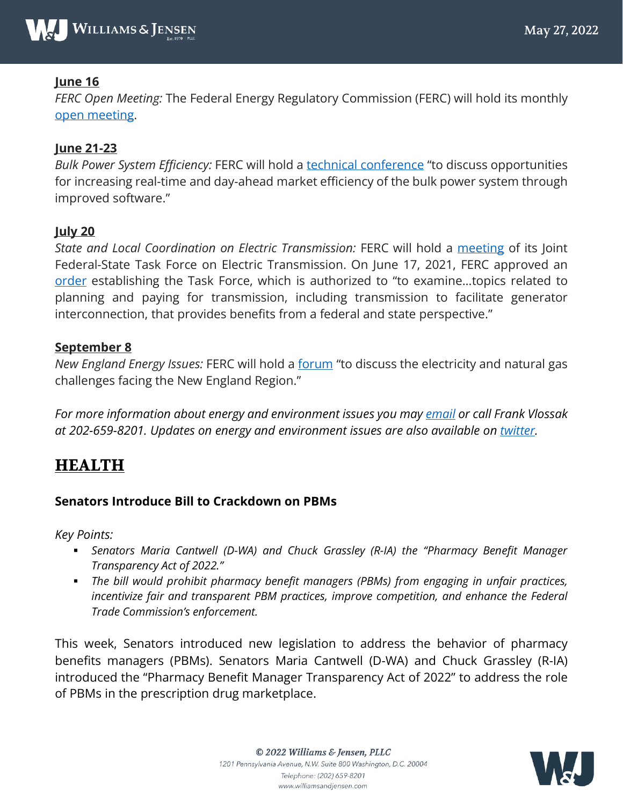

#### **June 16**

*FERC Open Meeting:* The Federal Energy Regulatory Commission (FERC) will hold its monthly open [meeting.](https://www.ferc.gov/news-events/events/june-16-2022-virtual-open-meeting-06162022)

#### **June 21-23**

*Bulk Power System Efficiency:* FERC will hold a technical [conference](https://www.ferc.gov/news-events/events/technical-conference-increasing-market-and-planning-efficiency-through-1) "to discuss opportunities for increasing real-time and day-ahead market efficiency of the bulk power system through improved software."

#### **July 20**

*State and Local Coordination on Electric Transmission:* FERC will hold a [meeting](https://www.govinfo.gov/content/pkg/FR-2022-05-27/html/2022-11443.htm) of its Joint Federal-State Task Force on Electric Transmission. On June 17, 2021, FERC approved an [order](https://www.ferc.gov/media/e-1-order-establish-joint-federal-state-task-force-electric-transmission) establishing the Task Force, which is authorized to "to examine…topics related to planning and paying for transmission, including transmission to facilitate generator interconnection, that provides benefits from a federal and state perspective."

#### **September 8**

*New England Energy Issues:* FERC will hold a [forum](https://www.ferc.gov/news-events/events/new-england-winter-gas-electric-forum-09082022) "to discuss the electricity and natural gas challenges facing the New England Region."

*For more information about energy and environment issues you may [email](mailto:fcvlossak@wms-jen.com) or call Frank Vlossak at 202-659-8201. Updates on energy and environment issues are also available on [twitter.](http://twitter.com/#!/fcvIV)*

## **HEALTH**

#### **Senators Introduce Bill to Crackdown on PBMs**

*Key Points:*

- *Senators Maria Cantwell (D-WA) and Chuck Grassley (R-IA) the "Pharmacy Benefit Manager Transparency Act of 2022."*
- *The bill would prohibit pharmacy benefit managers (PBMs) from engaging in unfair practices, incentivize fair and transparent PBM practices, improve competition, and enhance the Federal Trade Commission's enforcement.*

This week, Senators introduced new legislation to address the behavior of pharmacy benefits managers (PBMs). Senators Maria Cantwell (D-WA) and Chuck Grassley (R-IA) introduced the "Pharmacy Benefit Manager Transparency Act of 2022" to address the role of PBMs in the prescription drug marketplace.

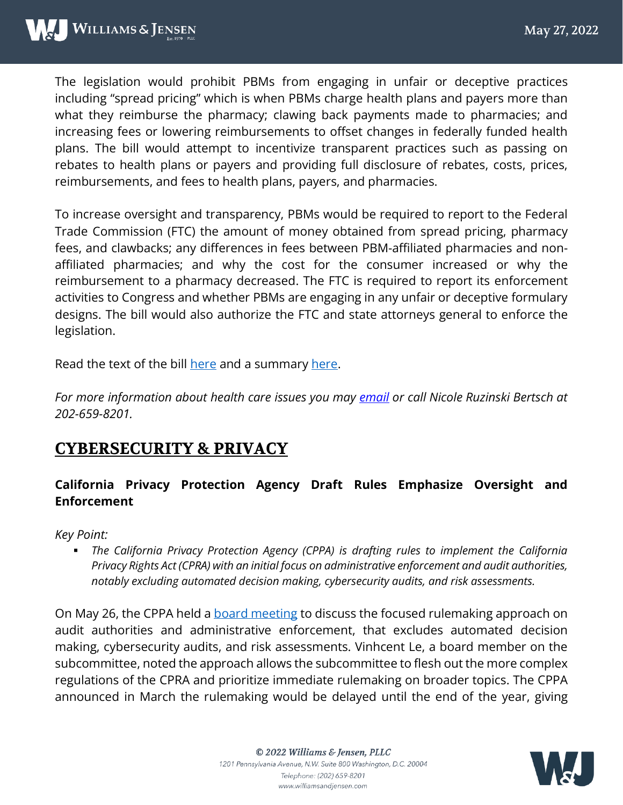The legislation would prohibit PBMs from engaging in unfair or deceptive practices including "spread pricing" which is when PBMs charge health plans and payers more than what they reimburse the pharmacy; clawing back payments made to pharmacies; and increasing fees or lowering reimbursements to offset changes in federally funded health plans. The bill would attempt to incentivize transparent practices such as passing on rebates to health plans or payers and providing full disclosure of rebates, costs, prices, reimbursements, and fees to health plans, payers, and pharmacies.

To increase oversight and transparency, PBMs would be required to report to the Federal Trade Commission (FTC) the amount of money obtained from spread pricing, pharmacy fees, and clawbacks; any differences in fees between PBM-affiliated pharmacies and nonaffiliated pharmacies; and why the cost for the consumer increased or why the reimbursement to a pharmacy decreased. The FTC is required to report its enforcement activities to Congress and whether PBMs are engaging in any unfair or deceptive formulary designs. The bill would also authorize the FTC and state attorneys general to enforce the legislation.

Read the text of the bill [here](https://www.grassley.senate.gov/imo/media/doc/pharmacy_benefit_manager_transparency_act_of_2022.pdf) and a summary [here.](https://www.grassley.senate.gov/imo/media/doc/pharmacy_benefit_manager_transparency_act_of_2022_summary.pdf)

*For more information about health care issues you may [email](mailto:nmruzinski@wms-jen.com) or call Nicole Ruzinski Bertsch at 202-659-8201.* 

# **CYBERSECURITY & PRIVACY**

#### **California Privacy Protection Agency Draft Rules Emphasize Oversight and Enforcement**

*Key Point:*

 *The California Privacy Protection Agency (CPPA) is drafting rules to implement the California Privacy Rights Act (CPRA) with an initial focus on administrative enforcement and audit authorities, notably excluding automated decision making, cybersecurity audits, and risk assessments.* 

On May 26, the CPPA held a **board meeting to discuss the focused rulemaking approach on** audit authorities and administrative enforcement, that excludes automated decision making, cybersecurity audits, and risk assessments. Vinhcent Le, a board member on the subcommittee, noted the approach allows the subcommittee to flesh out the more complex regulations of the CPRA and prioritize immediate rulemaking on broader topics. The CPPA announced in March the rulemaking would be delayed until the end of the year, giving

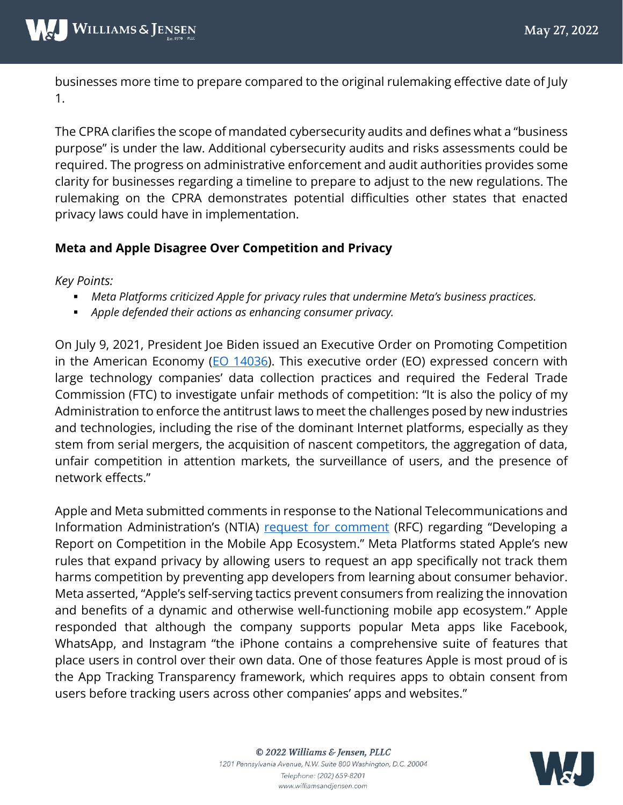businesses more time to prepare compared to the original rulemaking effective date of July 1.

The CPRA clarifies the scope of mandated cybersecurity audits and defines what a "business purpose" is under the law. Additional cybersecurity audits and risks assessments could be required. The progress on administrative enforcement and audit authorities provides some clarity for businesses regarding a timeline to prepare to adjust to the new regulations. The rulemaking on the CPRA demonstrates potential difficulties other states that enacted privacy laws could have in implementation.

#### **Meta and Apple Disagree Over Competition and Privacy**

*Key Points:*

- *Meta Platforms criticized Apple for privacy rules that undermine Meta's business practices.*
- *Apple defended their actions as enhancing consumer privacy.*

On July 9, 2021, President Joe Biden issued an Executive Order on Promoting Competition in the American Economy ( $EO$  14036). This executive order (EO) expressed concern with large technology companies' data collection practices and required the Federal Trade Commission (FTC) to investigate unfair methods of competition: "It is also the policy of my Administration to enforce the antitrust laws to meet the challenges posed by new industries and technologies, including the rise of the dominant Internet platforms, especially as they stem from serial mergers, the acquisition of nascent competitors, the aggregation of data, unfair competition in attention markets, the surveillance of users, and the presence of network effects."

Apple and Meta submitted comments in response to the National Telecommunications and Information Administration's (NTIA) [request for comment](https://www.ntia.doc.gov/files/ntia/publications/fr-mobile-app-rfc.pdf) (RFC) regarding "Developing a Report on Competition in the Mobile App Ecosystem." Meta Platforms stated Apple's new rules that expand privacy by allowing users to request an app specifically not track them harms competition by preventing app developers from learning about consumer behavior. Meta asserted, "Apple's self-serving tactics prevent consumers from realizing the innovation and benefits of a dynamic and otherwise well-functioning mobile app ecosystem." Apple responded that although the company supports popular Meta apps like Facebook, WhatsApp, and Instagram "the iPhone contains a comprehensive suite of features that place users in control over their own data. One of those features Apple is most proud of is the App Tracking Transparency framework, which requires apps to obtain consent from users before tracking users across other companies' apps and websites."

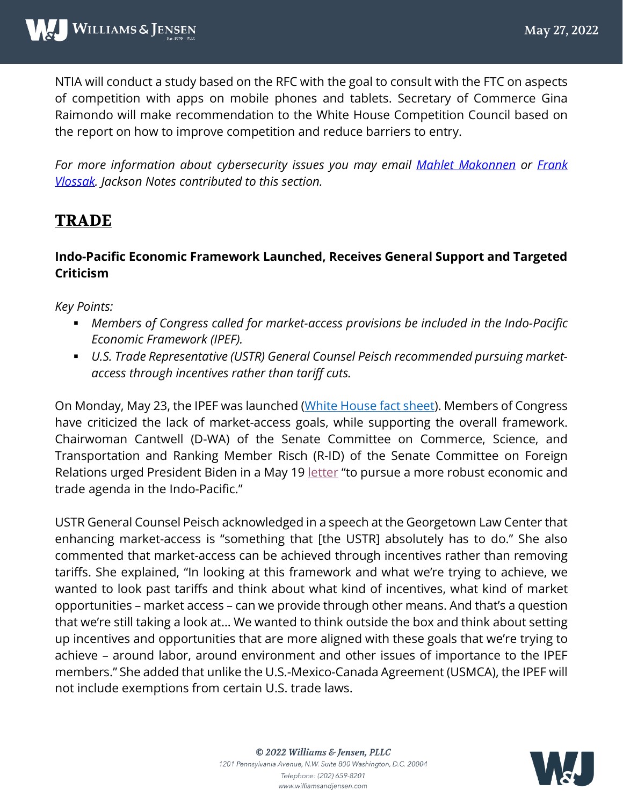NTIA will conduct a study based on the RFC with the goal to consult with the FTC on aspects of competition with apps on mobile phones and tablets. Secretary of Commerce Gina Raimondo will make recommendation to the White House Competition Council based on the report on how to improve competition and reduce barriers to entry.

*For more information about cybersecurity issues you may email [Mahlet Makonnen](mailto:mhmakonnen@wms-jen.com) or [Frank](mailto:fcvlossak@wms-jen.com)  [Vlossak.](mailto:fcvlossak@wms-jen.com) Jackson Notes contributed to this section.*

# **TRADE**

#### **Indo-Pacific Economic Framework Launched, Receives General Support and Targeted Criticism**

*Key Points:*

- *Members of Congress called for market-access provisions be included in the Indo-Pacific Economic Framework (IPEF).*
- *U.S. Trade Representative (USTR) General Counsel Peisch recommended pursuing marketaccess through incentives rather than tariff cuts.*

On Monday, May 23, the IPEF was launched [\(White House fact sheet\)](https://www.whitehouse.gov/briefing-room/statements-releases/2022/05/23/fact-sheet-in-asia-president-biden-and-a-dozen-indo-pacific-partners-launch-the-indo-pacific-economic-framework-for-prosperity/). Members of Congress have criticized the lack of market-access goals, while supporting the overall framework. Chairwoman Cantwell (D-WA) of the Senate Committee on Commerce, Science, and Transportation and Ranking Member Risch (R-ID) of the Senate Committee on Foreign Relations urged President Biden in a May 19 [letter](https://www.foreign.senate.gov/imo/media/doc/220519%20-%20TO%20POTUS%20-%20Indo-Pacific%20Economics%20Letter.pdf) "to pursue a more robust economic and trade agenda in the Indo-Pacific."

USTR General Counsel Peisch acknowledged in a speech at the Georgetown Law Center that enhancing market-access is "something that [the USTR] absolutely has to do." She also commented that market-access can be achieved through incentives rather than removing tariffs. She explained, "In looking at this framework and what we're trying to achieve, we wanted to look past tariffs and think about what kind of incentives, what kind of market opportunities – market access – can we provide through other means. And that's a question that we're still taking a look at… We wanted to think outside the box and think about setting up incentives and opportunities that are more aligned with these goals that we're trying to achieve – around labor, around environment and other issues of importance to the IPEF members." She added that unlike the U.S.-Mexico-Canada Agreement (USMCA), the IPEF will not include exemptions from certain U.S. trade laws.

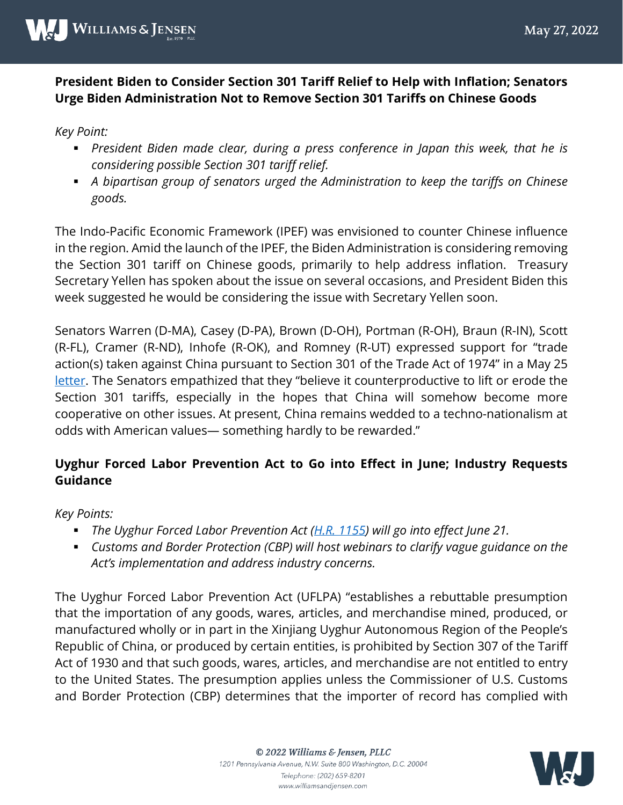#### **President Biden to Consider Section 301 Tariff Relief to Help with Inflation; Senators Urge Biden Administration Not to Remove Section 301 Tariffs on Chinese Goods**

*Key Point:*

- **President Biden made clear, during a press conference in Japan this week, that he is** *considering possible Section 301 tariff relief.*
- *A bipartisan group of senators urged the Administration to keep the tariffs on Chinese goods.*

The Indo-Pacific Economic Framework (IPEF) was envisioned to counter Chinese influence in the region. Amid the launch of the IPEF, the Biden Administration is considering removing the Section 301 tariff on Chinese goods, primarily to help address inflation. Treasury Secretary Yellen has spoken about the issue on several occasions, and President Biden this week suggested he would be considering the issue with Secretary Yellen soon.

Senators Warren (D-MA), Casey (D-PA), Brown (D-OH), Portman (R-OH), Braun (R-IN), Scott (R-FL), Cramer (R-ND), Inhofe (R-OK), and Romney (R-UT) expressed support for "trade action(s) taken against China pursuant to Section 301 of the Trade Act of 1974" in a May 25 [letter.](https://www.portman.senate.gov/sites/default/files/2022-05/220524-%20301%20China%20Final.pdf) The Senators empathized that they "believe it counterproductive to lift or erode the Section 301 tariffs, especially in the hopes that China will somehow become more cooperative on other issues. At present, China remains wedded to a techno-nationalism at odds with American values— something hardly to be rewarded."

#### **Uyghur Forced Labor Prevention Act to Go into Effect in June; Industry Requests Guidance**

*Key Points:* 

- *The Uyghur Forced Labor Prevention Act [\(H.R. 1155\)](https://www.congress.gov/bill/117th-congress/house-bill/1155/text) will go into effect June 21.*
- *Customs and Border Protection (CBP) will host webinars to clarify vague guidance on the Act's implementation and address industry concerns.*

The Uyghur Forced Labor Prevention Act (UFLPA) "establishes a rebuttable presumption that the importation of any goods, wares, articles, and merchandise mined, produced, or manufactured wholly or in part in the Xinjiang Uyghur Autonomous Region of the People's Republic of China, or produced by certain entities, is prohibited by Section 307 of the Tariff Act of 1930 and that such goods, wares, articles, and merchandise are not entitled to entry to the United States. The presumption applies unless the Commissioner of U.S. Customs and Border Protection (CBP) determines that the importer of record has complied with



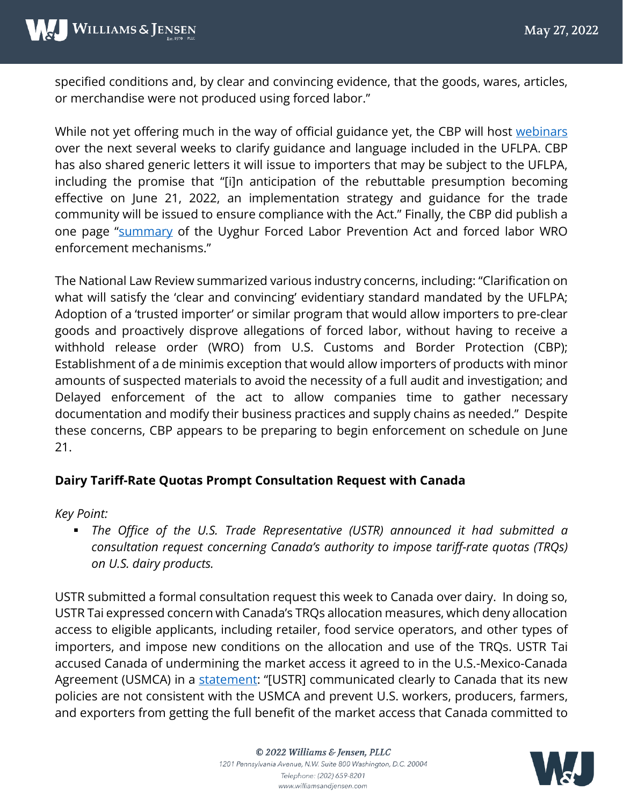specified conditions and, by clear and convincing evidence, that the goods, wares, articles, or merchandise were not produced using forced labor."

While not yet offering much in the way of official guidance yet, the CBP will host [webinars](https://www.cbp.gov/trade/forced-labor/UFLPA) over the next several weeks to clarify guidance and language included in the UFLPA. CBP has also shared generic letters it will issue to importers that may be subject to the UFLPA, including the promise that "[i]n anticipation of the rebuttable presumption becoming effective on June 21, 2022, an implementation strategy and guidance for the trade community will be issued to ensure compliance with the Act." Finally, the CBP did publish a one page ["summary](https://www.cbp.gov/sites/default/files/assets/documents/2022-May/UFLPA-WRO%20Table_FINAL.pdf) of the Uyghur Forced Labor Prevention Act and forced labor WRO enforcement mechanisms."

The National Law Review summarized various industry concerns, including: "Clarification on what will satisfy the 'clear and convincing' evidentiary standard mandated by the UFLPA; Adoption of a 'trusted importer' or similar program that would allow importers to pre-clear goods and proactively disprove allegations of forced labor, without having to receive a withhold release order (WRO) from U.S. Customs and Border Protection (CBP); Establishment of a de minimis exception that would allow importers of products with minor amounts of suspected materials to avoid the necessity of a full audit and investigation; and Delayed enforcement of the act to allow companies time to gather necessary documentation and modify their business practices and supply chains as needed." Despite these concerns, CBP appears to be preparing to begin enforcement on schedule on June 21.

#### **Dairy Tariff-Rate Quotas Prompt Consultation Request with Canada**

*Key Point:*

 *The Office of the U.S. Trade Representative (USTR) announced it had submitted a consultation request concerning Canada's authority to impose tariff-rate quotas (TRQs) on U.S. dairy products.*

USTR submitted a formal consultation request this week to Canada over dairy. In doing so, USTR Tai expressed concern with Canada's TRQs allocation measures, which deny allocation access to eligible applicants, including retailer, food service operators, and other types of importers, and impose new conditions on the allocation and use of the TRQs. USTR Tai accused Canada of undermining the market access it agreed to in the U.S.-Mexico-Canada Agreement (USMCA) in a [statement:](https://ustr.gov/about-us/policy-offices/press-office/press-releases/2022/may/united-states-initiates-second-usmca-dispute-canadian-dairy-tariff-rate-quota-policies) "[USTR] communicated clearly to Canada that its new policies are not consistent with the USMCA and prevent U.S. workers, producers, farmers, and exporters from getting the full benefit of the market access that Canada committed to



© 2022 Williams & Jensen, PLLC 1201 Pennsylvania Avenue, N.W. Suite 800 Washington, D.C. 20004 Telephone: (202) 659-8201 www.williamsandjensen.com